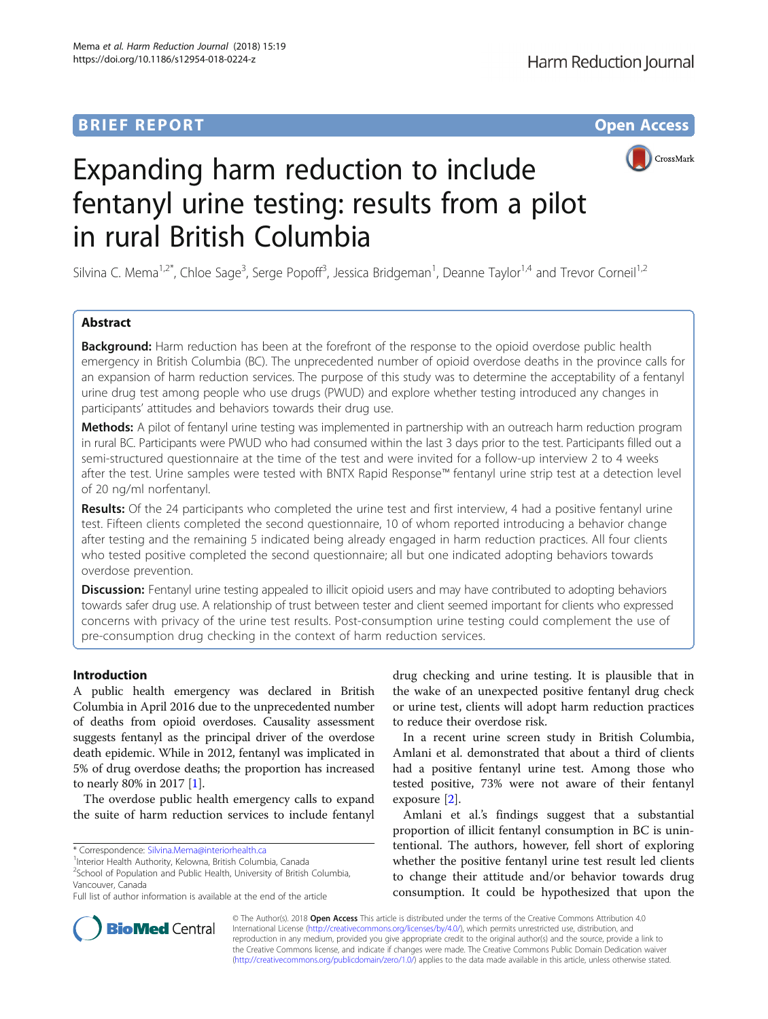# BRIEF REPORT **EXECUTE EXECUTE EXECUTE EXECUTE EXECUTE EXECUTE EXECUTE EXECUTE EXECUTE EXECUTE EXECUTE EXECUTE**



# Expanding harm reduction to include fentanyl urine testing: results from a pilot in rural British Columbia

Silvina C. Mema<sup>1,2\*</sup>, Chloe Sage<sup>3</sup>, Serge Popoff<sup>3</sup>, Jessica Bridgeman<sup>1</sup>, Deanne Taylor<sup>1,4</sup> and Trevor Corneil<sup>1,2</sup>

# Abstract

**Background:** Harm reduction has been at the forefront of the response to the opioid overdose public health emergency in British Columbia (BC). The unprecedented number of opioid overdose deaths in the province calls for an expansion of harm reduction services. The purpose of this study was to determine the acceptability of a fentanyl urine drug test among people who use drugs (PWUD) and explore whether testing introduced any changes in participants' attitudes and behaviors towards their drug use.

Methods: A pilot of fentanyl urine testing was implemented in partnership with an outreach harm reduction program in rural BC. Participants were PWUD who had consumed within the last 3 days prior to the test. Participants filled out a semi-structured questionnaire at the time of the test and were invited for a follow-up interview 2 to 4 weeks after the test. Urine samples were tested with BNTX Rapid Response™ fentanyl urine strip test at a detection level of 20 ng/ml norfentanyl.

Results: Of the 24 participants who completed the urine test and first interview, 4 had a positive fentanyl urine test. Fifteen clients completed the second questionnaire, 10 of whom reported introducing a behavior change after testing and the remaining 5 indicated being already engaged in harm reduction practices. All four clients who tested positive completed the second questionnaire; all but one indicated adopting behaviors towards overdose prevention.

Discussion: Fentanyl urine testing appealed to illicit opioid users and may have contributed to adopting behaviors towards safer drug use. A relationship of trust between tester and client seemed important for clients who expressed concerns with privacy of the urine test results. Post-consumption urine testing could complement the use of pre-consumption drug checking in the context of harm reduction services.

# Introduction

A public health emergency was declared in British Columbia in April 2016 due to the unprecedented number of deaths from opioid overdoses. Causality assessment suggests fentanyl as the principal driver of the overdose death epidemic. While in 2012, fentanyl was implicated in 5% of drug overdose deaths; the proportion has increased to nearly 80% in 2017 [[1\]](#page-4-0).

The overdose public health emergency calls to expand the suite of harm reduction services to include fentanyl

\* Correspondence: [Silvina.Mema@interiorhealth.ca](mailto:Silvina.Mema@interiorhealth.ca) <sup>1</sup>

<sup>2</sup>School of Population and Public Health, University of British Columbia, Vancouver, Canada

drug checking and urine testing. It is plausible that in the wake of an unexpected positive fentanyl drug check or urine test, clients will adopt harm reduction practices to reduce their overdose risk.

In a recent urine screen study in British Columbia, Amlani et al. demonstrated that about a third of clients had a positive fentanyl urine test. Among those who tested positive, 73% were not aware of their fentanyl exposure [[2](#page-4-0)].

Amlani et al.'s findings suggest that a substantial proportion of illicit fentanyl consumption in BC is unintentional. The authors, however, fell short of exploring whether the positive fentanyl urine test result led clients to change their attitude and/or behavior towards drug consumption. It could be hypothesized that upon the



© The Author(s). 2018 Open Access This article is distributed under the terms of the Creative Commons Attribution 4.0 International License [\(http://creativecommons.org/licenses/by/4.0/](http://creativecommons.org/licenses/by/4.0/)), which permits unrestricted use, distribution, and reproduction in any medium, provided you give appropriate credit to the original author(s) and the source, provide a link to the Creative Commons license, and indicate if changes were made. The Creative Commons Public Domain Dedication waiver [\(http://creativecommons.org/publicdomain/zero/1.0/](http://creativecommons.org/publicdomain/zero/1.0/)) applies to the data made available in this article, unless otherwise stated.

<sup>&</sup>lt;sup>1</sup>Interior Health Authority, Kelowna, British Columbia, Canada

Full list of author information is available at the end of the article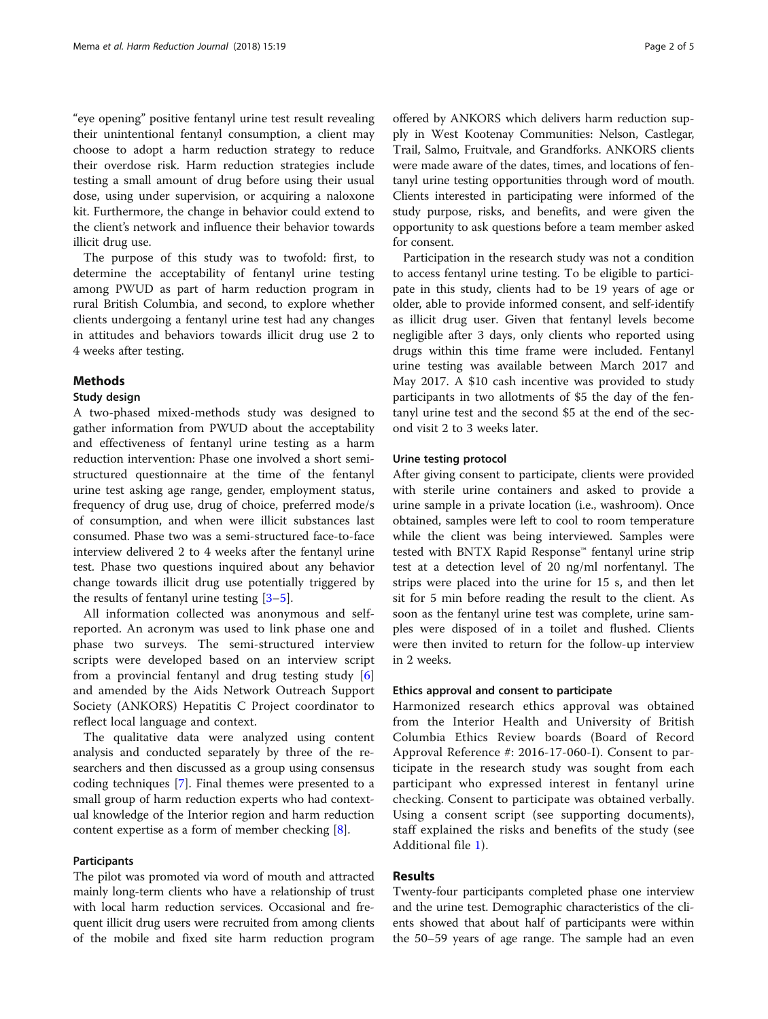"eye opening" positive fentanyl urine test result revealing their unintentional fentanyl consumption, a client may choose to adopt a harm reduction strategy to reduce their overdose risk. Harm reduction strategies include testing a small amount of drug before using their usual dose, using under supervision, or acquiring a naloxone kit. Furthermore, the change in behavior could extend to the client's network and influence their behavior towards illicit drug use.

The purpose of this study was to twofold: first, to determine the acceptability of fentanyl urine testing among PWUD as part of harm reduction program in rural British Columbia, and second, to explore whether clients undergoing a fentanyl urine test had any changes in attitudes and behaviors towards illicit drug use 2 to 4 weeks after testing.

# Methods

#### Study design

A two-phased mixed-methods study was designed to gather information from PWUD about the acceptability and effectiveness of fentanyl urine testing as a harm reduction intervention: Phase one involved a short semistructured questionnaire at the time of the fentanyl urine test asking age range, gender, employment status, frequency of drug use, drug of choice, preferred mode/s of consumption, and when were illicit substances last consumed. Phase two was a semi-structured face-to-face interview delivered 2 to 4 weeks after the fentanyl urine test. Phase two questions inquired about any behavior change towards illicit drug use potentially triggered by the results of fentanyl urine testing [\[3](#page-4-0)–[5](#page-4-0)].

All information collected was anonymous and selfreported. An acronym was used to link phase one and phase two surveys. The semi-structured interview scripts were developed based on an interview script from a provincial fentanyl and drug testing study [\[6](#page-4-0)] and amended by the Aids Network Outreach Support Society (ANKORS) Hepatitis C Project coordinator to reflect local language and context.

The qualitative data were analyzed using content analysis and conducted separately by three of the researchers and then discussed as a group using consensus coding techniques [\[7](#page-4-0)]. Final themes were presented to a small group of harm reduction experts who had contextual knowledge of the Interior region and harm reduction content expertise as a form of member checking [[8](#page-4-0)].

## Participants

The pilot was promoted via word of mouth and attracted mainly long-term clients who have a relationship of trust with local harm reduction services. Occasional and frequent illicit drug users were recruited from among clients of the mobile and fixed site harm reduction program

offered by ANKORS which delivers harm reduction supply in West Kootenay Communities: Nelson, Castlegar, Trail, Salmo, Fruitvale, and Grandforks. ANKORS clients were made aware of the dates, times, and locations of fentanyl urine testing opportunities through word of mouth. Clients interested in participating were informed of the study purpose, risks, and benefits, and were given the opportunity to ask questions before a team member asked for consent.

Participation in the research study was not a condition to access fentanyl urine testing. To be eligible to participate in this study, clients had to be 19 years of age or older, able to provide informed consent, and self-identify as illicit drug user. Given that fentanyl levels become negligible after 3 days, only clients who reported using drugs within this time frame were included. Fentanyl urine testing was available between March 2017 and May 2017. A \$10 cash incentive was provided to study participants in two allotments of \$5 the day of the fentanyl urine test and the second \$5 at the end of the second visit 2 to 3 weeks later.

# Urine testing protocol

After giving consent to participate, clients were provided with sterile urine containers and asked to provide a urine sample in a private location (i.e., washroom). Once obtained, samples were left to cool to room temperature while the client was being interviewed. Samples were tested with BNTX Rapid Response™ fentanyl urine strip test at a detection level of 20 ng/ml norfentanyl. The strips were placed into the urine for 15 s, and then let sit for 5 min before reading the result to the client. As soon as the fentanyl urine test was complete, urine samples were disposed of in a toilet and flushed. Clients were then invited to return for the follow-up interview in 2 weeks.

## Ethics approval and consent to participate

Harmonized research ethics approval was obtained from the Interior Health and University of British Columbia Ethics Review boards (Board of Record Approval Reference #: 2016-17-060-I). Consent to participate in the research study was sought from each participant who expressed interest in fentanyl urine checking. Consent to participate was obtained verbally. Using a consent script (see supporting documents), staff explained the risks and benefits of the study (see Additional file [1](#page-4-0)).

# Results

Twenty-four participants completed phase one interview and the urine test. Demographic characteristics of the clients showed that about half of participants were within the 50–59 years of age range. The sample had an even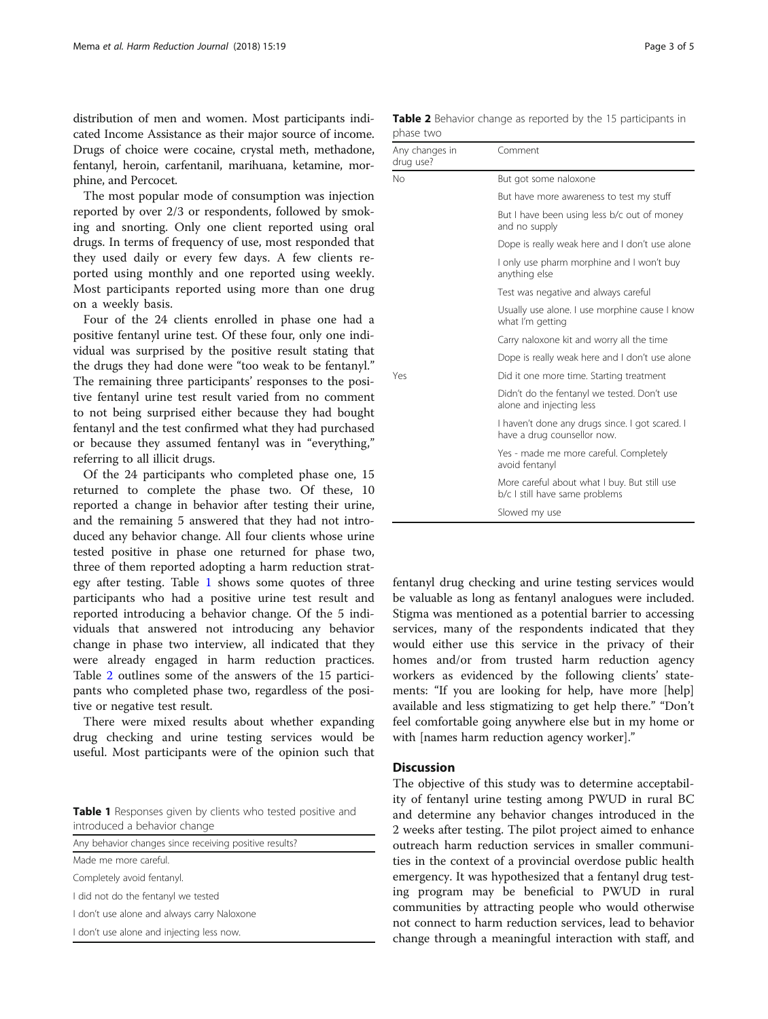distribution of men and women. Most participants indicated Income Assistance as their major source of income. Drugs of choice were cocaine, crystal meth, methadone, fentanyl, heroin, carfentanil, marihuana, ketamine, morphine, and Percocet.

The most popular mode of consumption was injection reported by over 2/3 or respondents, followed by smoking and snorting. Only one client reported using oral drugs. In terms of frequency of use, most responded that they used daily or every few days. A few clients reported using monthly and one reported using weekly. Most participants reported using more than one drug on a weekly basis.

Four of the 24 clients enrolled in phase one had a positive fentanyl urine test. Of these four, only one individual was surprised by the positive result stating that the drugs they had done were "too weak to be fentanyl." The remaining three participants' responses to the positive fentanyl urine test result varied from no comment to not being surprised either because they had bought fentanyl and the test confirmed what they had purchased or because they assumed fentanyl was in "everything," referring to all illicit drugs.

Of the 24 participants who completed phase one, 15 returned to complete the phase two. Of these, 10 reported a change in behavior after testing their urine, and the remaining 5 answered that they had not introduced any behavior change. All four clients whose urine tested positive in phase one returned for phase two, three of them reported adopting a harm reduction strategy after testing. Table 1 shows some quotes of three participants who had a positive urine test result and reported introducing a behavior change. Of the 5 individuals that answered not introducing any behavior change in phase two interview, all indicated that they were already engaged in harm reduction practices. Table 2 outlines some of the answers of the 15 participants who completed phase two, regardless of the positive or negative test result.

There were mixed results about whether expanding drug checking and urine testing services would be useful. Most participants were of the opinion such that

Table 1 Responses given by clients who tested positive and introduced a behavior change

| Any behavior changes since receiving positive results? |  |  |  |  |  |
|--------------------------------------------------------|--|--|--|--|--|
| Made me more careful.                                  |  |  |  |  |  |
| Completely avoid fentanyl.                             |  |  |  |  |  |
| I did not do the fentanyl we tested                    |  |  |  |  |  |
| I don't use alone and always carry Naloxone            |  |  |  |  |  |
| I don't use alone and injecting less now.              |  |  |  |  |  |

|           |  |  |  |  | <b>Table 2</b> Behavior change as reported by the 15 participants in |  |
|-----------|--|--|--|--|----------------------------------------------------------------------|--|
| phase two |  |  |  |  |                                                                      |  |

| Any changes in<br>drug use? | Comment                                                                        |
|-----------------------------|--------------------------------------------------------------------------------|
| No                          | But got some naloxone                                                          |
|                             | But have more awareness to test my stuff                                       |
|                             | But I have been using less b/c out of money<br>and no supply                   |
|                             | Dope is really weak here and I don't use alone                                 |
|                             | I only use pharm morphine and I won't buy<br>anything else                     |
|                             | Test was negative and always careful                                           |
|                             | Usually use alone. I use morphine cause I know<br>what I'm getting             |
|                             | Carry naloxone kit and worry all the time                                      |
|                             | Dope is really weak here and I don't use alone                                 |
| Yes                         | Did it one more time. Starting treatment                                       |
|                             | Didn't do the fentanyl we tested. Don't use<br>alone and injecting less        |
|                             | I haven't done any drugs since. I got scared. I<br>have a drug counsellor now. |
|                             | Yes - made me more careful. Completely<br>avoid fentanyl                       |
|                             | More careful about what I buy. But still use<br>b/c I still have same problems |
|                             | Slowed my use                                                                  |

fentanyl drug checking and urine testing services would be valuable as long as fentanyl analogues were included. Stigma was mentioned as a potential barrier to accessing services, many of the respondents indicated that they would either use this service in the privacy of their homes and/or from trusted harm reduction agency workers as evidenced by the following clients' statements: "If you are looking for help, have more [help] available and less stigmatizing to get help there." "Don't feel comfortable going anywhere else but in my home or with [names harm reduction agency worker]."

# **Discussion**

The objective of this study was to determine acceptability of fentanyl urine testing among PWUD in rural BC and determine any behavior changes introduced in the 2 weeks after testing. The pilot project aimed to enhance outreach harm reduction services in smaller communities in the context of a provincial overdose public health emergency. It was hypothesized that a fentanyl drug testing program may be beneficial to PWUD in rural communities by attracting people who would otherwise not connect to harm reduction services, lead to behavior change through a meaningful interaction with staff, and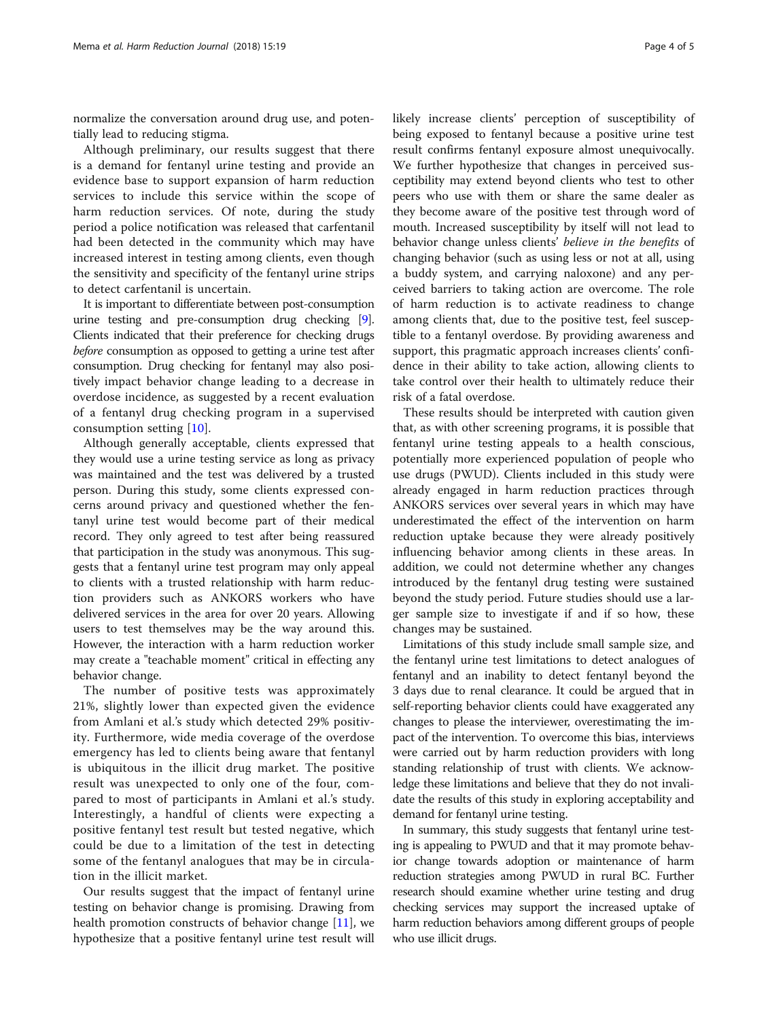normalize the conversation around drug use, and potentially lead to reducing stigma.

Although preliminary, our results suggest that there is a demand for fentanyl urine testing and provide an evidence base to support expansion of harm reduction services to include this service within the scope of harm reduction services. Of note, during the study period a police notification was released that carfentanil had been detected in the community which may have increased interest in testing among clients, even though the sensitivity and specificity of the fentanyl urine strips to detect carfentanil is uncertain.

It is important to differentiate between post-consumption urine testing and pre-consumption drug checking [[9](#page-4-0)]. Clients indicated that their preference for checking drugs before consumption as opposed to getting a urine test after consumption. Drug checking for fentanyl may also positively impact behavior change leading to a decrease in overdose incidence, as suggested by a recent evaluation of a fentanyl drug checking program in a supervised consumption setting [\[10](#page-4-0)].

Although generally acceptable, clients expressed that they would use a urine testing service as long as privacy was maintained and the test was delivered by a trusted person. During this study, some clients expressed concerns around privacy and questioned whether the fentanyl urine test would become part of their medical record. They only agreed to test after being reassured that participation in the study was anonymous. This suggests that a fentanyl urine test program may only appeal to clients with a trusted relationship with harm reduction providers such as ANKORS workers who have delivered services in the area for over 20 years. Allowing users to test themselves may be the way around this. However, the interaction with a harm reduction worker may create a "teachable moment" critical in effecting any behavior change.

The number of positive tests was approximately 21%, slightly lower than expected given the evidence from Amlani et al.'s study which detected 29% positivity. Furthermore, wide media coverage of the overdose emergency has led to clients being aware that fentanyl is ubiquitous in the illicit drug market. The positive result was unexpected to only one of the four, compared to most of participants in Amlani et al.'s study. Interestingly, a handful of clients were expecting a positive fentanyl test result but tested negative, which could be due to a limitation of the test in detecting some of the fentanyl analogues that may be in circulation in the illicit market.

Our results suggest that the impact of fentanyl urine testing on behavior change is promising. Drawing from health promotion constructs of behavior change [\[11\]](#page-4-0), we hypothesize that a positive fentanyl urine test result will likely increase clients' perception of susceptibility of being exposed to fentanyl because a positive urine test result confirms fentanyl exposure almost unequivocally. We further hypothesize that changes in perceived susceptibility may extend beyond clients who test to other peers who use with them or share the same dealer as they become aware of the positive test through word of mouth. Increased susceptibility by itself will not lead to behavior change unless clients' believe in the benefits of changing behavior (such as using less or not at all, using a buddy system, and carrying naloxone) and any perceived barriers to taking action are overcome. The role of harm reduction is to activate readiness to change among clients that, due to the positive test, feel susceptible to a fentanyl overdose. By providing awareness and support, this pragmatic approach increases clients' confidence in their ability to take action, allowing clients to take control over their health to ultimately reduce their risk of a fatal overdose.

These results should be interpreted with caution given that, as with other screening programs, it is possible that fentanyl urine testing appeals to a health conscious, potentially more experienced population of people who use drugs (PWUD). Clients included in this study were already engaged in harm reduction practices through ANKORS services over several years in which may have underestimated the effect of the intervention on harm reduction uptake because they were already positively influencing behavior among clients in these areas. In addition, we could not determine whether any changes introduced by the fentanyl drug testing were sustained beyond the study period. Future studies should use a larger sample size to investigate if and if so how, these changes may be sustained.

Limitations of this study include small sample size, and the fentanyl urine test limitations to detect analogues of fentanyl and an inability to detect fentanyl beyond the 3 days due to renal clearance. It could be argued that in self-reporting behavior clients could have exaggerated any changes to please the interviewer, overestimating the impact of the intervention. To overcome this bias, interviews were carried out by harm reduction providers with long standing relationship of trust with clients. We acknowledge these limitations and believe that they do not invalidate the results of this study in exploring acceptability and demand for fentanyl urine testing.

In summary, this study suggests that fentanyl urine testing is appealing to PWUD and that it may promote behavior change towards adoption or maintenance of harm reduction strategies among PWUD in rural BC. Further research should examine whether urine testing and drug checking services may support the increased uptake of harm reduction behaviors among different groups of people who use illicit drugs.